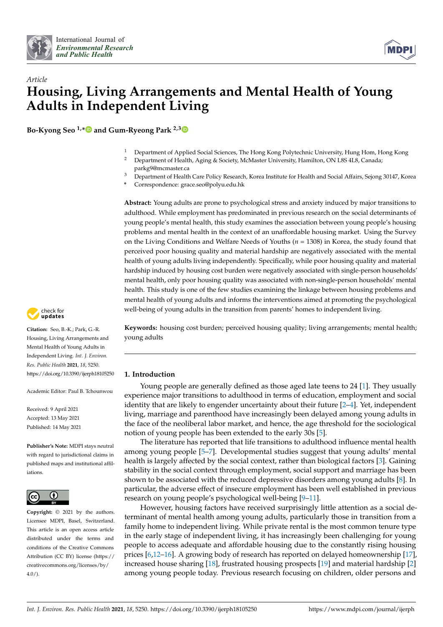



# *Article* **Housing, Living Arrangements and Mental Health of Young Adults in Independent Living**

**Bo-Kyong Seo 1,[\\*](https://orcid.org/0000-0002-9250-5844) and Gum-Ryeong Park 2,[3](https://orcid.org/0000-0003-0696-9421)**

- <sup>1</sup> Department of Applied Social Sciences, The Hong Kong Polytechnic University, Hung Hom, Hong Kong<br><sup>2</sup> Department of Hoalth, Aging & Society McMaster University Hamilton, ON USS 4U8, Canada:
- <sup>2</sup> Department of Health, Aging & Society, McMaster University, Hamilton, ON L8S 4L8, Canada; parkg9@mcmaster.ca
- <sup>3</sup> Department of Health Care Policy Research, Korea Institute for Health and Social Affairs, Sejong 30147, Korea
- **\*** Correspondence: grace.seo@polyu.edu.hk

**Abstract:** Young adults are prone to psychological stress and anxiety induced by major transitions to adulthood. While employment has predominated in previous research on the social determinants of young people's mental health, this study examines the association between young people's housing problems and mental health in the context of an unaffordable housing market. Using the Survey on the Living Conditions and Welfare Needs of Youths (*n* = 1308) in Korea, the study found that perceived poor housing quality and material hardship are negatively associated with the mental health of young adults living independently. Specifically, while poor housing quality and material hardship induced by housing cost burden were negatively associated with single-person households' mental health, only poor housing quality was associated with non-single-person households' mental health. This study is one of the few studies examining the linkage between housing problems and mental health of young adults and informs the interventions aimed at promoting the psychological well-being of young adults in the transition from parents' homes to independent living.

**Keywords:** housing cost burden; perceived housing quality; living arrangements; mental health; young adults

# **1. Introduction**

Young people are generally defined as those aged late teens to 24 [\[1\]](#page-7-0). They usually experience major transitions to adulthood in terms of education, employment and social identity that are likely to engender uncertainty about their future [\[2](#page-7-1)[–4\]](#page-7-2). Yet, independent living, marriage and parenthood have increasingly been delayed among young adults in the face of the neoliberal labor market, and hence, the age threshold for the sociological notion of young people has been extended to the early 30s [\[5\]](#page-7-3).

The literature has reported that life transitions to adulthood influence mental health among young people [\[5–](#page-7-3)[7\]](#page-7-4). Developmental studies suggest that young adults' mental health is largely affected by the social context, rather than biological factors [\[3\]](#page-7-5). Gaining stability in the social context through employment, social support and marriage has been shown to be associated with the reduced depressive disorders among young adults [\[8\]](#page-7-6). In particular, the adverse effect of insecure employment has been well established in previous research on young people's psychological well-being [\[9–](#page-8-0)[11\]](#page-8-1).

However, housing factors have received surprisingly little attention as a social determinant of mental health among young adults, particularly those in transition from a family home to independent living. While private rental is the most common tenure type in the early stage of independent living, it has increasingly been challenging for young people to access adequate and affordable housing due to the constantly rising housing prices [\[6](#page-7-7)[,12–](#page-8-2)[16\]](#page-8-3). A growing body of research has reported on delayed homeownership [\[17\]](#page-8-4), increased house sharing [\[18\]](#page-8-5), frustrated housing prospects [\[19\]](#page-8-6) and material hardship [\[2\]](#page-7-1) among young people today. Previous research focusing on children, older persons and



**Citation:** Seo, B.-K.; Park, G.-R. Housing, Living Arrangements and Mental Health of Young Adults in Independent Living. *Int. J. Environ. Res. Public Health* **2021**, *18*, 5250. <https://doi.org/10.3390/ijerph18105250>

Academic Editor: Paul B. Tchounwou

Received: 9 April 2021 Accepted: 13 May 2021 Published: 14 May 2021

**Publisher's Note:** MDPI stays neutral with regard to jurisdictional claims in published maps and institutional affiliations.



**Copyright:** © 2021 by the authors. Licensee MDPI, Basel, Switzerland. This article is an open access article distributed under the terms and conditions of the Creative Commons Attribution (CC BY) license (https:/[/](https://creativecommons.org/licenses/by/4.0/) [creativecommons.org/licenses/by/](https://creativecommons.org/licenses/by/4.0/) 4.0/).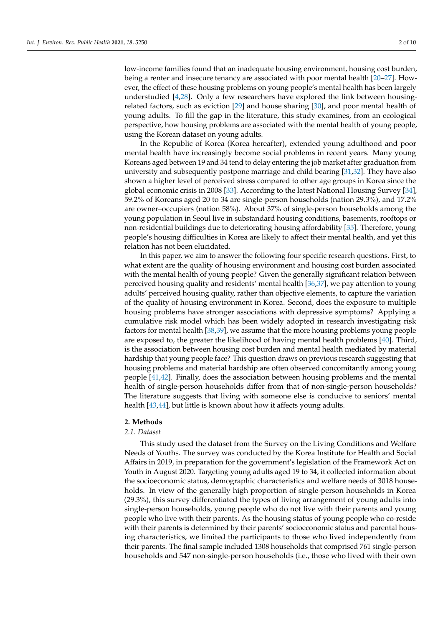low-income families found that an inadequate housing environment, housing cost burden, being a renter and insecure tenancy are associated with poor mental health [\[20–](#page-8-7)[27\]](#page-8-8). However, the effect of these housing problems on young people's mental health has been largely understudied [\[4](#page-7-2)[,28\]](#page-8-9). Only a few researchers have explored the link between housingrelated factors, such as eviction [\[29\]](#page-8-10) and house sharing [\[30\]](#page-8-11), and poor mental health of young adults. To fill the gap in the literature, this study examines, from an ecological perspective, how housing problems are associated with the mental health of young people, using the Korean dataset on young adults.

In the Republic of Korea (Korea hereafter), extended young adulthood and poor mental health have increasingly become social problems in recent years. Many young Koreans aged between 19 and 34 tend to delay entering the job market after graduation from university and subsequently postpone marriage and child bearing [\[31](#page-8-12)[,32\]](#page-8-13). They have also shown a higher level of perceived stress compared to other age groups in Korea since the global economic crisis in 2008 [\[33\]](#page-8-14). According to the latest National Housing Survey [\[34\]](#page-8-15), 59.2% of Koreans aged 20 to 34 are single-person households (nation 29.3%), and 17.2% are owner–occupiers (nation 58%). About 37% of single-person households among the young population in Seoul live in substandard housing conditions, basements, rooftops or non-residential buildings due to deteriorating housing affordability [\[35\]](#page-8-16). Therefore, young people's housing difficulties in Korea are likely to affect their mental health, and yet this relation has not been elucidated.

In this paper, we aim to answer the following four specific research questions. First, to what extent are the quality of housing environment and housing cost burden associated with the mental health of young people? Given the generally significant relation between perceived housing quality and residents' mental health [\[36](#page-8-17)[,37\]](#page-8-18), we pay attention to young adults' perceived housing quality, rather than objective elements, to capture the variation of the quality of housing environment in Korea. Second, does the exposure to multiple housing problems have stronger associations with depressive symptoms? Applying a cumulative risk model which has been widely adopted in research investigating risk factors for mental health [\[38,](#page-8-19)[39\]](#page-8-20), we assume that the more housing problems young people are exposed to, the greater the likelihood of having mental health problems [\[40\]](#page-9-0). Third, is the association between housing cost burden and mental health mediated by material hardship that young people face? This question draws on previous research suggesting that housing problems and material hardship are often observed concomitantly among young people [\[41,](#page-9-1)[42\]](#page-9-2). Finally, does the association between housing problems and the mental health of single-person households differ from that of non-single-person households? The literature suggests that living with someone else is conducive to seniors' mental health [\[43,](#page-9-3)[44\]](#page-9-4), but little is known about how it affects young adults.

# **2. Methods**

## *2.1. Dataset*

This study used the dataset from the Survey on the Living Conditions and Welfare Needs of Youths. The survey was conducted by the Korea Institute for Health and Social Affairs in 2019, in preparation for the government's legislation of the Framework Act on Youth in August 2020. Targeting young adults aged 19 to 34, it collected information about the socioeconomic status, demographic characteristics and welfare needs of 3018 households. In view of the generally high proportion of single-person households in Korea (29.3%), this survey differentiated the types of living arrangement of young adults into single-person households, young people who do not live with their parents and young people who live with their parents. As the housing status of young people who co-reside with their parents is determined by their parents' socioeconomic status and parental housing characteristics, we limited the participants to those who lived independently from their parents. The final sample included 1308 households that comprised 761 single-person households and 547 non-single-person households (i.e., those who lived with their own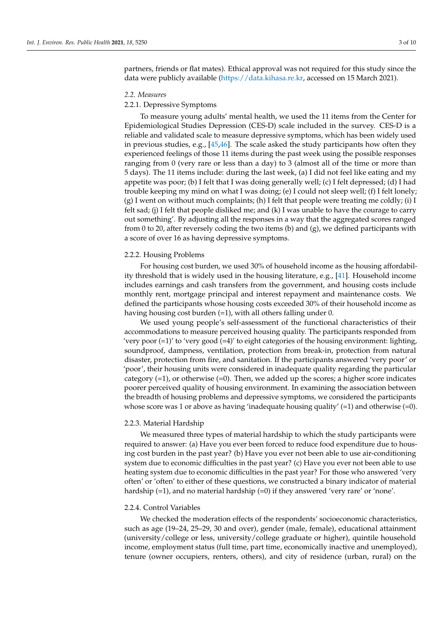partners, friends or flat mates). Ethical approval was not required for this study since the data were publicly available [\(https://data.kihasa.re.kr,](https://data.kihasa.re.kr) accessed on 15 March 2021).

#### *2.2. Measures*

# 2.2.1. Depressive Symptoms

To measure young adults' mental health, we used the 11 items from the Center for Epidemiological Studies Depression (CES-D) scale included in the survey. CES-D is a reliable and validated scale to measure depressive symptoms, which has been widely used in previous studies, e.g., [\[45](#page-9-5)[,46\]](#page-9-6). The scale asked the study participants how often they experienced feelings of those 11 items during the past week using the possible responses ranging from 0 (very rare or less than a day) to 3 (almost all of the time or more than 5 days). The 11 items include: during the last week, (a) I did not feel like eating and my appetite was poor; (b) I felt that I was doing generally well; (c) I felt depressed; (d) I had trouble keeping my mind on what I was doing; (e) I could not sleep well; (f) I felt lonely; (g) I went on without much complaints; (h) I felt that people were treating me coldly; (i) I felt sad; (j) I felt that people disliked me; and  $(k)$  I was unable to have the courage to carry out something'. By adjusting all the responses in a way that the aggregated scores ranged from 0 to 20, after reversely coding the two items (b) and (g), we defined participants with a score of over 16 as having depressive symptoms.

#### 2.2.2. Housing Problems

For housing cost burden, we used 30% of household income as the housing affordability threshold that is widely used in the housing literature, e.g., [\[41\]](#page-9-1). Household income includes earnings and cash transfers from the government, and housing costs include monthly rent, mortgage principal and interest repayment and maintenance costs. We defined the participants whose housing costs exceeded 30% of their household income as having housing cost burden (=1), with all others falling under 0.

We used young people's self-assessment of the functional characteristics of their accommodations to measure perceived housing quality. The participants responded from 'very poor (=1)' to 'very good (=4)' to eight categories of the housing environment: lighting, soundproof, dampness, ventilation, protection from break-in, protection from natural disaster, protection from fire, and sanitation. If the participants answered 'very poor' or 'poor', their housing units were considered in inadequate quality regarding the particular category  $(=1)$ , or otherwise  $(=0)$ . Then, we added up the scores; a higher score indicates poorer perceived quality of housing environment. In examining the association between the breadth of housing problems and depressive symptoms, we considered the participants whose score was 1 or above as having 'inadequate housing quality'  $(=1)$  and otherwise  $(=0)$ .

#### 2.2.3. Material Hardship

We measured three types of material hardship to which the study participants were required to answer: (a) Have you ever been forced to reduce food expenditure due to housing cost burden in the past year? (b) Have you ever not been able to use air-conditioning system due to economic difficulties in the past year? (c) Have you ever not been able to use heating system due to economic difficulties in the past year? For those who answered 'very often' or 'often' to either of these questions, we constructed a binary indicator of material hardship (=1), and no material hardship (=0) if they answered 'very rare' or 'none'.

#### 2.2.4. Control Variables

We checked the moderation effects of the respondents' socioeconomic characteristics, such as age (19–24, 25–29, 30 and over), gender (male, female), educational attainment (university/college or less, university/college graduate or higher), quintile household income, employment status (full time, part time, economically inactive and unemployed), tenure (owner occupiers, renters, others), and city of residence (urban, rural) on the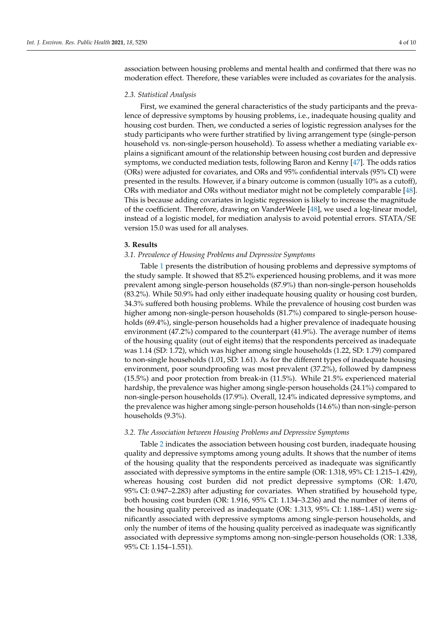association between housing problems and mental health and confirmed that there was no moderation effect. Therefore, these variables were included as covariates for the analysis.

#### *2.3. Statistical Analysis*

First, we examined the general characteristics of the study participants and the prevalence of depressive symptoms by housing problems, i.e., inadequate housing quality and housing cost burden. Then, we conducted a series of logistic regression analyses for the study participants who were further stratified by living arrangement type (single-person household vs. non-single-person household). To assess whether a mediating variable explains a significant amount of the relationship between housing cost burden and depressive symptoms, we conducted mediation tests, following Baron and Kenny [\[47\]](#page-9-7). The odds ratios (ORs) were adjusted for covariates, and ORs and 95% confidential intervals (95% CI) were presented in the results. However, if a binary outcome is common (usually 10% as a cutoff), ORs with mediator and ORs without mediator might not be completely comparable [\[48\]](#page-9-8). This is because adding covariates in logistic regression is likely to increase the magnitude of the coefficient. Therefore, drawing on VanderWeele [\[48\]](#page-9-8), we used a log-linear model, instead of a logistic model, for mediation analysis to avoid potential errors. STATA/SE version 15.0 was used for all analyses.

#### **3. Results**

#### *3.1. Prevalence of Housing Problems and Depressive Symptoms*

Table [1](#page-4-0) presents the distribution of housing problems and depressive symptoms of the study sample. It showed that 85.2% experienced housing problems, and it was more prevalent among single-person households (87.9%) than non-single-person households (83.2%). While 50.9% had only either inadequate housing quality or housing cost burden, 34.3% suffered both housing problems. While the prevalence of housing cost burden was higher among non-single-person households (81.7%) compared to single-person households (69.4%), single-person households had a higher prevalence of inadequate housing environment (47.2%) compared to the counterpart (41.9%). The average number of items of the housing quality (out of eight items) that the respondents perceived as inadequate was 1.14 (SD: 1.72), which was higher among single households (1.22, SD: 1.79) compared to non-single households (1.01, SD: 1.61). As for the different types of inadequate housing environment, poor soundproofing was most prevalent (37.2%), followed by dampness (15.5%) and poor protection from break-in (11.5%). While 21.5% experienced material hardship, the prevalence was higher among single-person households (24.1%) compared to non-single-person households (17.9%). Overall, 12.4% indicated depressive symptoms, and the prevalence was higher among single-person households (14.6%) than non-single-person households (9.3%).

## *3.2. The Association between Housing Problems and Depressive Symptoms*

Table [2](#page-4-1) indicates the association between housing cost burden, inadequate housing quality and depressive symptoms among young adults. It shows that the number of items of the housing quality that the respondents perceived as inadequate was significantly associated with depressive symptoms in the entire sample (OR: 1.318, 95% CI: 1.215–1.429), whereas housing cost burden did not predict depressive symptoms (OR: 1.470, 95% CI: 0.947–2.283) after adjusting for covariates. When stratified by household type, both housing cost burden (OR: 1.916, 95% CI: 1.134–3.236) and the number of items of the housing quality perceived as inadequate (OR: 1.313, 95% CI: 1.188–1.451) were significantly associated with depressive symptoms among single-person households, and only the number of items of the housing quality perceived as inadequate was significantly associated with depressive symptoms among non-single-person households (OR: 1.338, 95% CI: 1.154–1.551).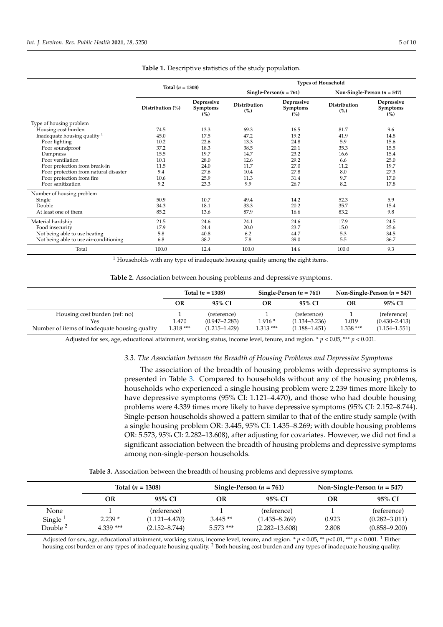<span id="page-4-0"></span>

|                                         |                    |                               | <b>Types of Household</b>  |                                      |                               |                               |  |  |  |
|-----------------------------------------|--------------------|-------------------------------|----------------------------|--------------------------------------|-------------------------------|-------------------------------|--|--|--|
|                                         | Total $(n = 1308)$ |                               |                            | Single-Person( $n = 761$ )           | Non-Single-Person $(n = 547)$ |                               |  |  |  |
|                                         | Distribution (%)   | Depressive<br>Symptoms<br>(%) | <b>Distribution</b><br>(%) | Depressive<br><b>Symptoms</b><br>(%) | <b>Distribution</b><br>(%)    | Depressive<br>Symptoms<br>(%) |  |  |  |
| Type of housing problem                 |                    |                               |                            |                                      |                               |                               |  |  |  |
| Housing cost burden                     | 74.5               | 13.3                          | 69.3                       | 16.5                                 | 81.7                          | 9.6                           |  |  |  |
| Inadequate housing quality <sup>1</sup> | 45.0               | 17.5                          | 47.2                       | 19.2                                 | 41.9                          | 14.8                          |  |  |  |
| Poor lighting                           | 10.2               | 22.6                          | 13.3                       | 24.8                                 | 5.9                           | 15.6                          |  |  |  |
| Poor soundproof                         | 37.2               | 18.3                          | 38.5                       | 20.1                                 | 35.3                          | 15.5                          |  |  |  |
| Dampness                                | 15.5               | 19.7                          | 14.7                       | 23.2                                 | 16.6                          | 15.4                          |  |  |  |
| Poor ventilation                        | 10.1               | 28.0                          | 12.6                       | 29.2                                 | 6.6                           | 25.0                          |  |  |  |
| Poor protection from break-in           | 11.5               | 24.0                          | 11.7                       | 27.0                                 | 11.2                          | 19.7                          |  |  |  |
| Poor protection from natural disaster   | 9.4                | 27.6                          | 10.4                       | 27.8                                 | 8.0                           | 27.3                          |  |  |  |
| Poor protection from fire               | 10.6               | 25.9                          | 11.3                       | 31.4                                 | 9.7                           | 17.0                          |  |  |  |
| Poor sanitization                       | 9.2                | 23.3                          | 9.9                        | 26.7                                 | 8.2                           | 17.8                          |  |  |  |
| Number of housing problem               |                    |                               |                            |                                      |                               |                               |  |  |  |
| Single                                  | 50.9               | 10.7                          | 49.4                       | 14.2                                 | 52.3                          | 5.9                           |  |  |  |
| Double                                  | 34.3               | 18.1                          | 33.3                       | 20.2                                 | 35.7                          | 15.4                          |  |  |  |
| At least one of them                    | 85.2               | 13.6                          | 87.9                       | 16.6                                 | 83.2                          | 9.8                           |  |  |  |
| Material hardship                       | 21.5               | 24.6                          | 24.1                       | 24.6                                 | 17.9                          | 24.5                          |  |  |  |
| Food insecurity                         | 17.9               | 24.4                          | 20.0                       | 23.7                                 | 15.0                          | 25.6                          |  |  |  |
| Not being able to use heating           | 5.8                | 40.8                          | 6.2                        | 44.7                                 | 5.3                           | 34.5                          |  |  |  |
| Not being able to use air-conditioning  | 6.8                | 38.2                          | 7.8                        | 39.0                                 | 5.5                           | 36.7                          |  |  |  |
| Total                                   | 100.0              | 12.4                          | 100.0                      | 14.6                                 | 100.0                         | 9.3                           |  |  |  |

**Table 1.** Descriptive statistics of the study population.

 $1$  Households with any type of inadequate housing quality among the eight items.

**Table 2.** Association between housing problems and depressive symptoms.

<span id="page-4-1"></span>

|                                               |                    | Total $(n = 1308)$ |            | Single-Person $(n = 761)$ | Non-Single-Person $(n = 547)$ |                   |  |
|-----------------------------------------------|--------------------|--------------------|------------|---------------------------|-------------------------------|-------------------|--|
|                                               | 95% CI<br>OR<br>OR |                    | 95% CI     | OR                        | 95% CI                        |                   |  |
| Housing cost burden (ref: no)                 |                    | (reference)        |            | (reference)               |                               | (reference)       |  |
| Yes                                           | 1.470              | $(0.947 - 2.283)$  | $1.916*$   | $(1.134 - 3.236)$         | 1.019                         | $(0.430 - 2.413)$ |  |
| Number of items of inadequate housing quality | 1.318 ***          | $(1.215 - 1.429)$  | $1.313***$ | $(1.188 - 1.451)$         | 1.338 ***                     | $(1.154 - 1.551)$ |  |

Adjusted for sex, age, educational attainment, working status, income level, tenure, and region. \* *p* < 0.05, \*\*\* *p* < 0.001.

#### *3.3. The Association between the Breadth of Housing Problems and Depressive Symptoms*

The association of the breadth of housing problems with depressive symptoms is presented in Table [3.](#page-4-2) Compared to households without any of the housing problems, households who experienced a single housing problem were 2.239 times more likely to have depressive symptoms (95% CI: 1.121–4.470), and those who had double housing problems were 4.339 times more likely to have depressive symptoms (95% CI: 2.152–8.744). Single-person households showed a pattern similar to that of the entire study sample (with a single housing problem OR: 3.445, 95% CI: 1.435–8.269; with double housing problems OR: 5.573, 95% CI: 2.282–13.608), after adjusting for covariates. However, we did not find a significant association between the breadth of housing problems and depressive symptoms among non-single-person households.

**Table 3.** Association between the breadth of housing problems and depressive symptoms.

<span id="page-4-2"></span>

|                     | Total $(n = 1308)$<br>Single-Person $(n = 761)$<br>95% CI<br>OR<br>OR |                   |             |                    | Non-Single-Person $(n = 547)$ |                   |  |
|---------------------|-----------------------------------------------------------------------|-------------------|-------------|--------------------|-------------------------------|-------------------|--|
|                     |                                                                       |                   | 95% CI      | OR                 | 95% CI                        |                   |  |
| None                |                                                                       | (reference)       |             | (reference)        |                               | (reference)       |  |
| Single <sup>1</sup> | $2.239*$                                                              | $(1.121 - 4.470)$ | $3.445**$   | $(1.435 - 8.269)$  | 0.923                         | $(0.282 - 3.011)$ |  |
| Double <sup>2</sup> | $4.339$ ***                                                           | $(2.152 - 8.744)$ | $5.573$ *** | $(2.282 - 13.608)$ | 2.808                         | $(0.858 - 9.200)$ |  |

Adjusted for sex, age, educational attainment, working status, income level, tenure, and region. \* *p* < 0.05, \*\* *p*<0.01, \*\*\* *p* < 0.001. <sup>1</sup> Either housing cost burden or any types of inadequate housing quality. <sup>2</sup> Both housing cost burden and any types of inadequate housing quality.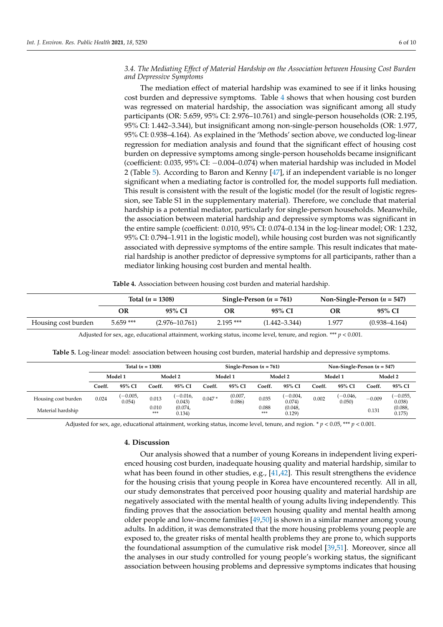## *3.4. The Mediating Effect of Material Hardship on the Association between Housing Cost Burden and Depressive Symptoms*

The mediation effect of material hardship was examined to see if it links housing cost burden and depressive symptoms. Table [4](#page-5-0) shows that when housing cost burden was regressed on material hardship, the association was significant among all study participants (OR: 5.659, 95% CI: 2.976–10.761) and single-person households (OR: 2.195, 95% CI: 1.442–3.344), but insignificant among non-single-person households (OR: 1.977, 95% CI: 0.938–4.164). As explained in the 'Methods' section above, we conducted log-linear regression for mediation analysis and found that the significant effect of housing cost burden on depressive symptoms among single-person households became insignificant (coefficient: 0.035, 95% CI: −0.004–0.074) when material hardship was included in Model 2 (Table [5\)](#page-5-1). According to Baron and Kenny [\[47\]](#page-9-7), if an independent variable is no longer significant when a mediating factor is controlled for, the model supports full mediation. This result is consistent with the result of the logistic model (for the result of logistic regression, see Table S1 in the supplementary material). Therefore, we conclude that material hardship is a potential mediator, particularly for single-person households. Meanwhile, the association between material hardship and depressive symptoms was significant in the entire sample (coefficient: 0.010, 95% CI: 0.074–0.134 in the log-linear model; OR: 1.232, 95% CI: 0.794–1.911 in the logistic model), while housing cost burden was not significantly associated with depressive symptoms of the entire sample. This result indicates that material hardship is another predictor of depressive symptoms for all participants, rather than a mediator linking housing cost burden and mental health.

**Table 4.** Association between housing cost burden and material hardship.

<span id="page-5-0"></span>

|                     |             | Total $(n = 1308)$ |            | Single-Person $(n = 761)$ | Non-Single-Person $(n = 547)$ |                   |  |
|---------------------|-------------|--------------------|------------|---------------------------|-------------------------------|-------------------|--|
|                     | OR          | 95% CI             | OR         | 95% CI                    | OR                            | 95% CI            |  |
| Housing cost burden | $5.659$ *** | $(2.976 - 10.761)$ | $2.195***$ | $(1.442 - 3.344)$         | l.977                         | $(0.938 - 4.164)$ |  |

Adjusted for sex, age, educational attainment, working status, income level, tenure, and region. \*\*\* *p* < 0.001.

**Table 5.** Log-linear model: association between housing cost burden, material hardship and depressive symptoms.

<span id="page-5-1"></span>

|                     | Total $(n = 1308)$ |                     |              | Single-Person $(n = 761)$ |          |                  |              | Non-Single-Person $(n = 547)$ |         |                      |          |                     |
|---------------------|--------------------|---------------------|--------------|---------------------------|----------|------------------|--------------|-------------------------------|---------|----------------------|----------|---------------------|
|                     | Model 1            |                     | Model 2      |                           | Model 1  |                  | Model 2      |                               | Model 1 |                      | Model 2  |                     |
|                     | Coeff.             | 95% CI              | Coeff.       | 95% CI                    | Coeff.   | 95% CI           | Coeff.       | 95% CI                        | Coeff.  | 95% CI               | Coeff.   | 95% CI              |
| Housing cost burden | 0.024              | $-0.005,$<br>0.054) | 0.013        | $(-0.016,$<br>0.043)      | $0.047*$ | (0.007,<br>0.086 | 0.035        | $-0.004,$<br>0.074            | 0.002   | $(-0.046,$<br>0.050) | $-0.009$ | $(-0.055,$<br>0.038 |
| Material hardship   |                    |                     | 0.010<br>*** | (0.074,<br>0.134)         |          |                  | 0.088<br>*** | (0.048,<br>0.129              |         |                      | 0.131    | (0.088,<br>0.175    |

Adjusted for sex, age, educational attainment, working status, income level, tenure, and region. \* *p* < 0.05, \*\*\* *p* < 0.001.

## **4. Discussion**

Our analysis showed that a number of young Koreans in independent living experienced housing cost burden, inadequate housing quality and material hardship, similar to what has been found in other studies, e.g., [\[41,](#page-9-1)[42\]](#page-9-2). This result strengthens the evidence for the housing crisis that young people in Korea have encountered recently. All in all, our study demonstrates that perceived poor housing quality and material hardship are negatively associated with the mental health of young adults living independently. This finding proves that the association between housing quality and mental health among older people and low-income families [\[49,](#page-9-9)[50\]](#page-9-10) is shown in a similar manner among young adults. In addition, it was demonstrated that the more housing problems young people are exposed to, the greater risks of mental health problems they are prone to, which supports the foundational assumption of the cumulative risk model [\[39](#page-8-20)[,51\]](#page-9-11). Moreover, since all the analyses in our study controlled for young people's working status, the significant association between housing problems and depressive symptoms indicates that housing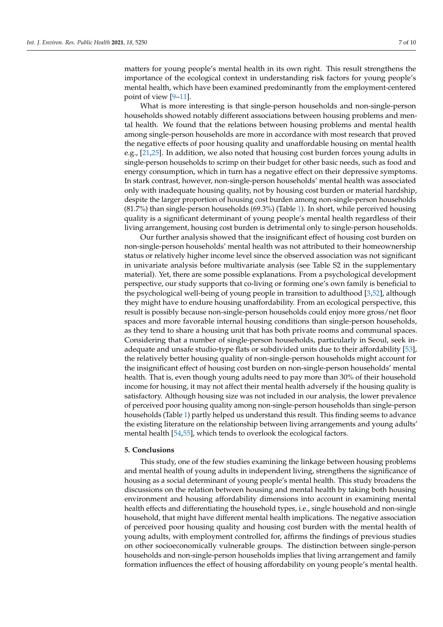matters for young people's mental health in its own right. This result strengthens the importance of the ecological context in understanding risk factors for young people's mental health, which have been examined predominantly from the employment-centered point of view [\[9](#page-8-0)[–11\]](#page-8-1).

What is more interesting is that single-person households and non-single-person households showed notably different associations between housing problems and mental health. We found that the relations between housing problems and mental health among single-person households are more in accordance with most research that proved the negative effects of poor housing quality and unaffordable housing on mental health e.g., [\[21](#page-8-21)[,25\]](#page-8-22). In addition, we also noted that housing cost burden forces young adults in single-person households to scrimp on their budget for other basic needs, such as food and energy consumption, which in turn has a negative effect on their depressive symptoms. In stark contrast, however, non-single-person households' mental health was associated only with inadequate housing quality, not by housing cost burden or material hardship, despite the larger proportion of housing cost burden among non-single-person households (81.7%) than single-person households (69.3%) (Table [1\)](#page-4-0). In short, while perceived housing quality is a significant determinant of young people's mental health regardless of their living arrangement, housing cost burden is detrimental only to single-person households.

Our further analysis showed that the insignificant effect of housing cost burden on non-single-person households' mental health was not attributed to their homeownership status or relatively higher income level since the observed association was not significant in univariate analysis before multivariate analysis (see Table S2 in the supplementary material). Yet, there are some possible explanations. From a psychological development perspective, our study supports that co-living or forming one's own family is beneficial to the psychological well-being of young people in transition to adulthood [\[3,](#page-7-5)[52\]](#page-9-12), although they might have to endure housing unaffordability. From an ecological perspective, this result is possibly because non-single-person households could enjoy more gross/net floor spaces and more favorable internal housing conditions than single-person households, as they tend to share a housing unit that has both private rooms and communal spaces. Considering that a number of single-person households, particularly in Seoul, seek inadequate and unsafe studio-type flats or subdivided units due to their affordability [\[53\]](#page-9-13), the relatively better housing quality of non-single-person households might account for the insignificant effect of housing cost burden on non-single-person households' mental health. That is, even though young adults need to pay more than 30% of their household income for housing, it may not affect their mental health adversely if the housing quality is satisfactory. Although housing size was not included in our analysis, the lower prevalence of perceived poor housing quality among non-single-person households than single-person households (Table [1\)](#page-4-0) partly helped us understand this result. This finding seems to advance the existing literature on the relationship between living arrangements and young adults' mental health [\[54,](#page-9-14)[55\]](#page-9-15), which tends to overlook the ecological factors.

#### **5. Conclusions**

This study, one of the few studies examining the linkage between housing problems and mental health of young adults in independent living, strengthens the significance of housing as a social determinant of young people's mental health. This study broadens the discussions on the relation between housing and mental health by taking both housing environment and housing affordability dimensions into account in examining mental health effects and differentiating the household types, i.e., single household and non-single household, that might have different mental health implications. The negative association of perceived poor housing quality and housing cost burden with the mental health of young adults, with employment controlled for, affirms the findings of previous studies on other socioeconomically vulnerable groups. The distinction between single-person households and non-single-person households implies that living arrangement and family formation influences the effect of housing affordability on young people's mental health.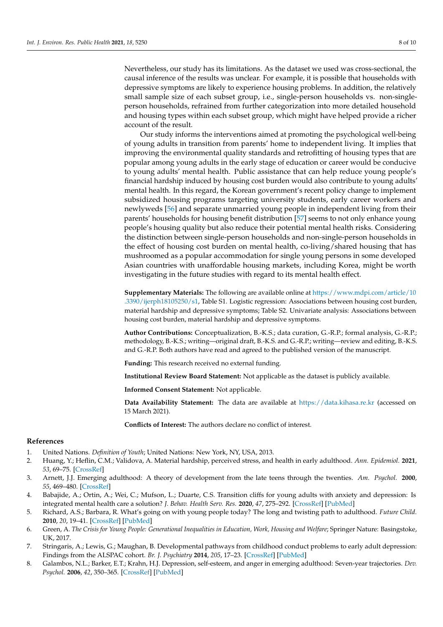Nevertheless, our study has its limitations. As the dataset we used was cross-sectional, the causal inference of the results was unclear. For example, it is possible that households with depressive symptoms are likely to experience housing problems. In addition, the relatively small sample size of each subset group, i.e., single-person households vs. non-singleperson households, refrained from further categorization into more detailed household and housing types within each subset group, which might have helped provide a richer account of the result.

Our study informs the interventions aimed at promoting the psychological well-being of young adults in transition from parents' home to independent living. It implies that improving the environmental quality standards and retrofitting of housing types that are popular among young adults in the early stage of education or career would be conducive to young adults' mental health. Public assistance that can help reduce young people's financial hardship induced by housing cost burden would also contribute to young adults' mental health. In this regard, the Korean government's recent policy change to implement subsidized housing programs targeting university students, early career workers and newlyweds [\[56\]](#page-9-16) and separate unmarried young people in independent living from their parents' households for housing benefit distribution [\[57\]](#page-9-17) seems to not only enhance young people's housing quality but also reduce their potential mental health risks. Considering the distinction between single-person households and non-single-person households in the effect of housing cost burden on mental health, co-living/shared housing that has mushroomed as a popular accommodation for single young persons in some developed Asian countries with unaffordable housing markets, including Korea, might be worth investigating in the future studies with regard to its mental health effect.

**Supplementary Materials:** The following are available online at [https://www.mdpi.com/article/10](https://www.mdpi.com/article/10.3390/ijerph18105250/s1) [.3390/ijerph18105250/s1,](https://www.mdpi.com/article/10.3390/ijerph18105250/s1) Table S1. Logistic regression: Associations between housing cost burden, material hardship and depressive symptoms; Table S2. Univariate analysis: Associations between housing cost burden, material hardship and depressive symptoms.

**Author Contributions:** Conceptualization, B.-K.S.; data curation, G.-R.P.; formal analysis, G.-R.P.; methodology, B.-K.S.; writing—original draft, B.-K.S. and G.-R.P.; writing—review and editing, B.-K.S. and G.-R.P. Both authors have read and agreed to the published version of the manuscript.

**Funding:** This research received no external funding.

**Institutional Review Board Statement:** Not applicable as the dataset is publicly available.

**Informed Consent Statement:** Not applicable.

**Data Availability Statement:** The data are available at <https://data.kihasa.re.kr> (accessed on 15 March 2021).

**Conflicts of Interest:** The authors declare no conflict of interest.

#### **References**

- <span id="page-7-0"></span>1. United Nations. *Definition of Youth*; United Nations: New York, NY, USA, 2013.
- <span id="page-7-1"></span>2. Huang, Y.; Heflin, C.M.; Validova, A. Material hardship, perceived stress, and health in early adulthood. *Ann. Epidemiol.* **2021**, *53*, 69–75. [\[CrossRef\]](http://doi.org/10.1016/j.annepidem.2020.08.017)
- <span id="page-7-5"></span>3. Arnett, J.J. Emerging adulthood: A theory of development from the late teens through the twenties. *Am. Psychol.* **2000**, *55*, 469–480. [\[CrossRef\]](http://doi.org/10.1037/0003-066X.55.5.469)
- <span id="page-7-2"></span>4. Babajide, A.; Ortin, A.; Wei, C.; Mufson, L.; Duarte, C.S. Transition cliffs for young adults with anxiety and depression: Is integrated mental health care a solution? *J. Behav. Health Serv. Res.* **2020**, *47*, 275–292. [\[CrossRef\]](http://doi.org/10.1007/s11414-019-09670-8) [\[PubMed\]](http://www.ncbi.nlm.nih.gov/pubmed/31428923)
- <span id="page-7-3"></span>5. Richard, A.S.; Barbara, R. What's going on with young people today? The long and twisting path to adulthood. *Future Child.* **2010**, *20*, 19–41. [\[CrossRef\]](http://doi.org/10.1353/foc.0.0044) [\[PubMed\]](http://www.ncbi.nlm.nih.gov/pubmed/20364620)
- <span id="page-7-7"></span>6. Green, A. *The Crisis for Young People: Generational Inequalities in Education, Work, Housing and Welfare*; Springer Nature: Basingstoke, UK, 2017.
- <span id="page-7-4"></span>7. Stringaris, A.; Lewis, G.; Maughan, B. Developmental pathways from childhood conduct problems to early adult depression: Findings from the ALSPAC cohort. *Br. J. Psychiatry* **2014**, *205*, 17–23. [\[CrossRef\]](http://doi.org/10.1192/bjp.bp.113.134221) [\[PubMed\]](http://www.ncbi.nlm.nih.gov/pubmed/24764545)
- <span id="page-7-6"></span>8. Galambos, N.L.; Barker, E.T.; Krahn, H.J. Depression, self-esteem, and anger in emerging adulthood: Seven-year trajectories. *Dev. Psychol.* **2006**, *42*, 350–365. [\[CrossRef\]](http://doi.org/10.1037/0012-1649.42.2.350) [\[PubMed\]](http://www.ncbi.nlm.nih.gov/pubmed/16569173)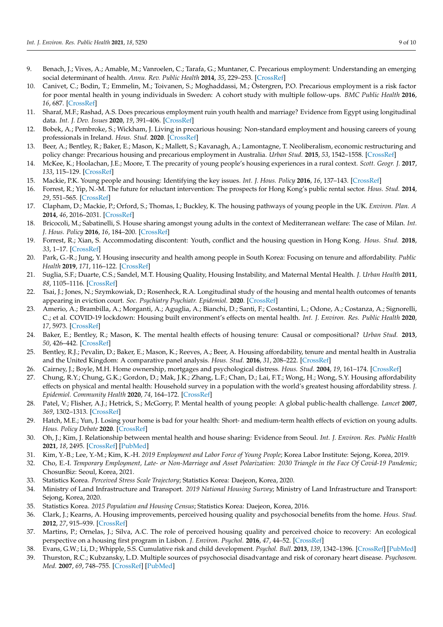- <span id="page-8-0"></span>9. Benach, J.; Vives, A.; Amable, M.; Vanroelen, C.; Tarafa, G.; Muntaner, C. Precarious employment: Understanding an emerging social determinant of health. *Annu. Rev. Public Health* **2014**, *35*, 229–253. [\[CrossRef\]](http://doi.org/10.1146/annurev-publhealth-032013-182500)
- 10. Canivet, C.; Bodin, T.; Emmelin, M.; Toivanen, S.; Moghaddassi, M.; Östergren, P.O. Precarious employment is a risk factor for poor mental health in young individuals in Sweden: A cohort study with multiple follow-ups. *BMC Public Health* **2016**, *16*, 687. [\[CrossRef\]](http://doi.org/10.1186/s12889-016-3358-5)
- <span id="page-8-1"></span>11. Sharaf, M.F.; Rashad, A.S. Does precarious employment ruin youth health and marriage? Evidence from Egypt using longitudinal data. *Int. J. Dev. Issues* **2020**, *19*, 391–406. [\[CrossRef\]](http://doi.org/10.1108/IJDI-01-2020-0005)
- <span id="page-8-2"></span>12. Bobek, A.; Pembroke, S.; Wickham, J. Living in precarious housing: Non-standard employment and housing careers of young professionals in Ireland. *Hous. Stud.* **2020**. [\[CrossRef\]](http://doi.org/10.1080/02673037.2020.1769037)
- 13. Beer, A.; Bentley, R.; Baker, E.; Mason, K.; Mallett, S.; Kavanagh, A.; Lamontagne, T. Neoliberalism, economic restructuring and policy change: Precarious housing and precarious employment in Australia. *Urban Stud.* **2015**, *53*, 1542–1558. [\[CrossRef\]](http://doi.org/10.1177/0042098015596922)
- 14. McKee, K.; Hoolachan, J.E.; Moore, T. The precarity of young people's housing experiences in a rural context. *Scott. Geogr. J.* **2017**, *133*, 115–129. [\[CrossRef\]](http://doi.org/10.1080/14702541.2017.1321136)
- 15. Mackie, P.K. Young people and housing: Identifying the key issues. *Int. J. Hous. Policy* **2016**, *16*, 137–143. [\[CrossRef\]](http://doi.org/10.1080/14616718.2016.1159273)
- <span id="page-8-3"></span>16. Forrest, R.; Yip, N.-M. The future for reluctant intervention: The prospects for Hong Kong's public rental sector. *Hous. Stud.* **2014**, *29*, 551–565. [\[CrossRef\]](http://doi.org/10.1080/02673037.2013.878020)
- <span id="page-8-4"></span>17. Clapham, D.; Mackie, P.; Orford, S.; Thomas, I.; Buckley, K. The housing pathways of young people in the UK. *Environ. Plan. A* **2014**, *46*, 2016–2031. [\[CrossRef\]](http://doi.org/10.1068/a46273)
- <span id="page-8-5"></span>18. Bricocoli, M.; Sabatinelli, S. House sharing amongst young adults in the context of Mediterranean welfare: The case of Milan. *Int. J. Hous. Policy* **2016**, *16*, 184–200. [\[CrossRef\]](http://doi.org/10.1080/14616718.2016.1160670)
- <span id="page-8-6"></span>19. Forrest, R.; Xian, S. Accommodating discontent: Youth, conflict and the housing question in Hong Kong. *Hous. Stud.* **2018**, *33*, 1–17. [\[CrossRef\]](http://doi.org/10.1080/02673037.2017.1342775)
- <span id="page-8-7"></span>20. Park, G.-R.; Jung, Y. Housing insecurity and health among people in South Korea: Focusing on tenure and affordability. *Public Health* **2019**, *171*, 116–122. [\[CrossRef\]](http://doi.org/10.1016/j.puhe.2019.02.017)
- <span id="page-8-21"></span>21. Suglia, S.F.; Duarte, C.S.; Sandel, M.T. Housing Quality, Housing Instability, and Maternal Mental Health. *J. Urban Health* **2011**, *88*, 1105–1116. [\[CrossRef\]](http://doi.org/10.1007/s11524-011-9587-0)
- 22. Tsai, J.; Jones, N.; Szymkowiak, D.; Rosenheck, R.A. Longitudinal study of the housing and mental health outcomes of tenants appearing in eviction court. *Soc. Psychiatry Psychiatr. Epidemiol.* **2020**. [\[CrossRef\]](http://doi.org/10.1007/s00127-020-01953-2)
- 23. Amerio, A.; Brambilla, A.; Morganti, A.; Aguglia, A.; Bianchi, D.; Santi, F.; Costantini, L.; Odone, A.; Costanza, A.; Signorelli, C.; et al. COVID-19 lockdown: Housing built environment's effects on mental health. *Int. J. Environ. Res. Public Health* **2020**, *17*, 5973. [\[CrossRef\]](http://doi.org/10.3390/ijerph17165973)
- 24. Baker, E.; Bentley, R.; Mason, K. The mental health effects of housing tenure: Causal or compositional? *Urban Stud.* **2013**, *50*, 426–442. [\[CrossRef\]](http://doi.org/10.1177/0042098012446992)
- <span id="page-8-22"></span>25. Bentley, R.J.; Pevalin, D.; Baker, E.; Mason, K.; Reeves, A.; Beer, A. Housing affordability, tenure and mental health in Australia and the United Kingdom: A comparative panel analysis. *Hous. Stud.* **2016**, *31*, 208–222. [\[CrossRef\]](http://doi.org/10.1080/02673037.2015.1070796)
- 26. Cairney, J.; Boyle, M.H. Home ownership, mortgages and psychological distress. *Hous. Stud.* **2004**, *19*, 161–174. [\[CrossRef\]](http://doi.org/10.1080/0267303032000168577)
- <span id="page-8-8"></span>27. Chung, R.Y.; Chung, G.K.; Gordon, D.; Mak, J.K.; Zhang, L.F.; Chan, D.; Lai, F.T.; Wong, H.; Wong, S.Y. Housing affordability effects on physical and mental health: Household survey in a population with the world's greatest housing affordability stress. *J. Epidemiol. Community Health* **2020**, *74*, 164–172. [\[CrossRef\]](http://doi.org/10.1136/jech-2019-212286)
- <span id="page-8-9"></span>28. Patel, V.; Flisher, A.J.; Hetrick, S.; McGorry, P. Mental health of young people: A global public-health challenge. *Lancet* **2007**, *369*, 1302–1313. [\[CrossRef\]](http://doi.org/10.1016/S0140-6736(07)60368-7)
- <span id="page-8-10"></span>29. Hatch, M.E.; Yun, J. Losing your home is bad for your health: Short- and medium-term health effects of eviction on young adults. *Hous. Policy Debate* **2020**. [\[CrossRef\]](http://doi.org/10.1080/10511482.2020.1812690)
- <span id="page-8-11"></span>30. Oh, J.; Kim, J. Relationship between mental health and house sharing: Evidence from Seoul. *Int. J. Environ. Res. Public Health* **2021**, *18*, 2495. [\[CrossRef\]](http://doi.org/10.3390/ijerph18052495) [\[PubMed\]](http://www.ncbi.nlm.nih.gov/pubmed/33802482)
- <span id="page-8-12"></span>31. Kim, Y.-B.; Lee, Y.-M.; Kim, K.-H. *2019 Employment and Labor Force of Young People*; Korea Labor Institute: Sejong, Korea, 2019.
- <span id="page-8-13"></span>32. Cho, E.-I. *Temporary Employment, Late- or Non-Marriage and Asset Polarization: 2030 Triangle in the Face Of Covid-19 Pandemic*; ChosunBiz: Seoul, Korea, 2021.
- <span id="page-8-14"></span>33. Statistics Korea. *Perceived Stress Scale Trajectory*; Statistics Korea: Daejeon, Korea, 2020.
- <span id="page-8-15"></span>34. Ministry of Land Infrastructure and Transport. *2019 National Housing Survey*; Ministry of Land Infrastructure and Transport: Sejong, Korea, 2020.
- <span id="page-8-16"></span>35. Statistics Korea. *2015 Population and Housing Census*; Statistics Korea: Daejeon, Korea, 2016.
- <span id="page-8-17"></span>36. Clark, J.; Kearns, A. Housing improvements, perceived housing quality and psychosocial benefits from the home. *Hous. Stud.* **2012**, *27*, 915–939. [\[CrossRef\]](http://doi.org/10.1080/02673037.2012.725829)
- <span id="page-8-18"></span>37. Martins, P.; Ornelas, J.; Silva, A.C. The role of perceived housing quality and perceived choice to recovery: An ecological perspective on a housing first program in Lisbon. *J. Environ. Psychol.* **2016**, *47*, 44–52. [\[CrossRef\]](http://doi.org/10.1016/j.jenvp.2016.05.004)
- <span id="page-8-19"></span>38. Evans, G.W.; Li, D.; Whipple, S.S. Cumulative risk and child development. *Psychol. Bull.* **2013**, *139*, 1342–1396. [\[CrossRef\]](http://doi.org/10.1037/a0031808) [\[PubMed\]](http://www.ncbi.nlm.nih.gov/pubmed/23566018)
- <span id="page-8-20"></span>39. Thurston, R.C.; Kubzansky, L.D. Multiple sources of psychosocial disadvantage and risk of coronary heart disease. *Psychosom. Med.* **2007**, *69*, 748–755. [\[CrossRef\]](http://doi.org/10.1097/PSY.0b013e31815772a3) [\[PubMed\]](http://www.ncbi.nlm.nih.gov/pubmed/17942839)